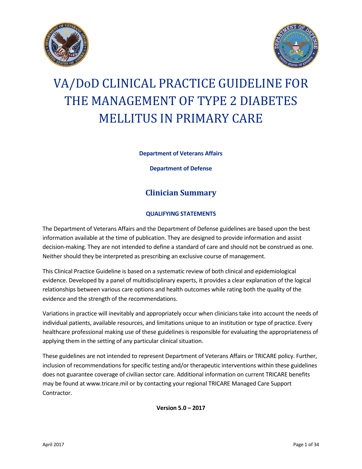



# VA/DoD CLINICAL PRACTICE GUIDELINE FOR THE MANAGEMENT OF TYPE 2 DIABETES MELLITUS IN PRIMARY CARE

**Department of Veterans Affairs**

**Department of Defense**

### **Clinician Summary**

#### **QUALIFYING STATEMENTS**

The Department of Veterans Affairs and the Department of Defense guidelines are based upon the best information available at the time of publication. They are designed to provide information and assist decision-making. They are not intended to define a standard of care and should not be construed as one. Neither should they be interpreted as prescribing an exclusive course of management.

This Clinical Practice Guideline is based on a systematic review of both clinical and epidemiological evidence. Developed by a panel of multidisciplinary experts, it provides a clear explanation of the logical relationships between various care options and health outcomes while rating both the quality of the evidence and the strength of the recommendations.

Variations in practice will inevitably and appropriately occur when clinicians take into account the needs of individual patients, available resources, and limitations unique to an institution or type of practice. Every healthcare professional making use of these guidelines is responsible for evaluating the appropriateness of applying them in the setting of any particular clinical situation.

These guidelines are not intended to represent Department of Veterans Affairs or TRICARE policy. Further, inclusion of recommendations for specific testing and/or therapeutic interventions within these guidelines does not guarantee coverage of civilian sector care. Additional information on current TRICARE benefits may be found at www.tricare.mil or by contacting your regional TRICARE Managed Care Support Contractor.

**Version 5.0 – 2017**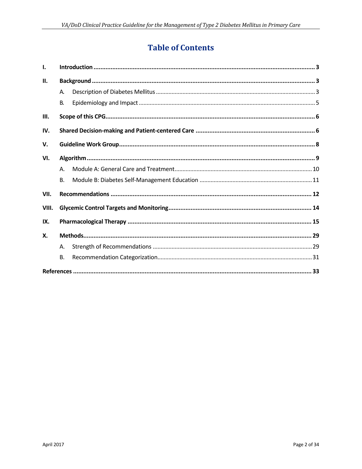# **Table of Contents**

| Ι.    |           |  |  |  |  |  |  |  |
|-------|-----------|--|--|--|--|--|--|--|
| Н.    |           |  |  |  |  |  |  |  |
|       | А.        |  |  |  |  |  |  |  |
|       | <b>B.</b> |  |  |  |  |  |  |  |
| III.  |           |  |  |  |  |  |  |  |
| IV.   |           |  |  |  |  |  |  |  |
| v.    |           |  |  |  |  |  |  |  |
| VI.   |           |  |  |  |  |  |  |  |
|       | $A_{1}$   |  |  |  |  |  |  |  |
|       | <b>B.</b> |  |  |  |  |  |  |  |
| VII.  |           |  |  |  |  |  |  |  |
| VIII. |           |  |  |  |  |  |  |  |
| IX.   |           |  |  |  |  |  |  |  |
| Х.    |           |  |  |  |  |  |  |  |
|       | Α.        |  |  |  |  |  |  |  |
|       | <b>B.</b> |  |  |  |  |  |  |  |
|       |           |  |  |  |  |  |  |  |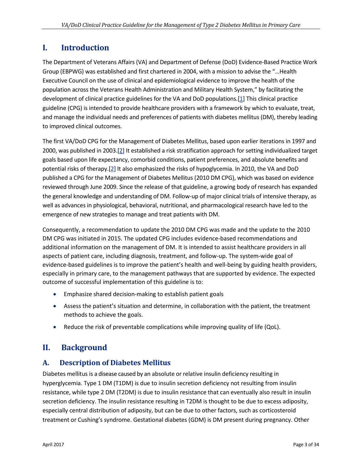### <span id="page-2-0"></span>**I. Introduction**

The Department of Veterans Affairs (VA) and Department of Defense (DoD) Evidence-Based Practice Work Group (EBPWG) was established and first chartered in 2004, with a mission to advise the "…Health Executive Council on the use of clinical and epidemiological evidence to improve the health of the population across the Veterans Health Administration and Military Health System," by facilitating the development of clinical practice guidelines for the VA and DoD populations.[\[1\]](#page-32-1) This clinical practice guideline (CPG) is intended to provide healthcare providers with a framework by which to evaluate, treat, and manage the individual needs and preferences of patients with diabetes mellitus (DM), thereby leading to improved clinical outcomes.

The first VA/DoD CPG for the Management of Diabetes Mellitus, based upon earlier iterations in 1997 and 2000, was published in 2003.[\[2\]](#page-32-2) It established a risk stratification approach for setting individualized target goals based upon life expectancy, comorbid conditions, patient preferences, and absolute benefits and potential risks of therapy.[\[2\]](#page-32-2) It also emphasized the risks of hypoglycemia. In 2010, the VA and DoD published a CPG for the Management of Diabetes Mellitus (2010 DM CPG), which was based on evidence reviewed through June 2009. Since the release of that guideline, a growing body of research has expanded the general knowledge and understanding of DM. Follow-up of major clinical trials of intensive therapy, as well as advances in physiological, behavioral, nutritional, and pharmacological research have led to the emergence of new strategies to manage and treat patients with DM.

Consequently, a recommendation to update the 2010 DM CPG was made and the update to the 2010 DM CPG was initiated in 2015. The updated CPG includes evidence-based recommendations and additional information on the management of DM. It is intended to assist healthcare providers in all aspects of patient care, including diagnosis, treatment, and follow-up. The system-wide goal of evidence-based guidelines is to improve the patient's health and well-being by guiding health providers, especially in primary care, to the management pathways that are supported by evidence. The expected outcome of successful implementation of this guideline is to:

- Emphasize shared decision-making to establish patient goals
- Assess the patient's situation and determine, in collaboration with the patient, the treatment methods to achieve the goals.
- <span id="page-2-1"></span>Reduce the risk of preventable complications while improving quality of life (QoL).

### **II. Background**

#### <span id="page-2-2"></span>**A. Description of Diabetes Mellitus**

Diabetes mellitus is a disease caused by an absolute or relative insulin deficiency resulting in hyperglycemia. Type 1 DM (T1DM) is due to insulin secretion deficiency not resulting from insulin resistance, while type 2 DM (T2DM) is due to insulin resistance that can eventually also result in insulin secretion deficiency. The insulin resistance resulting in T2DM is thought to be due to excess adiposity, especially central distribution of adiposity, but can be due to other factors, such as corticosteroid treatment or Cushing's syndrome. Gestational diabetes (GDM) is DM present during pregnancy. Other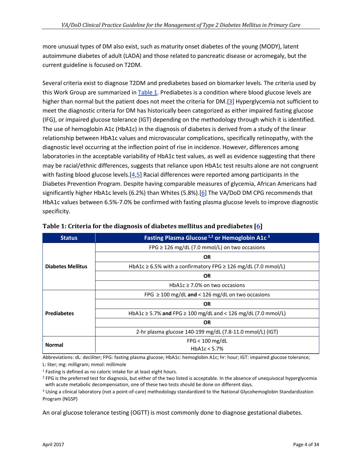more unusual types of DM also exist, such as maturity onset diabetes of the young (MODY), latent autoimmune diabetes of adult (LADA) and those related to pancreatic disease or acromegaly, but the current guideline is focused on T2DM.

Several criteria exist to diagnose T2DM and prediabetes based on biomarker levels. The criteria used by this Work Group are summarized i[n Table 1.](#page-3-0) Prediabetes is a condition where blood glucose levels are higher than normal but the patient does not meet the criteria for DM.[\[3\]](#page-32-3) Hyperglycemia not sufficient to meet the diagnostic criteria for DM has historically been categorized as either impaired fasting glucose (IFG), or impaired glucose tolerance (IGT) depending on the methodology through which it is identified. The use of hemoglobin A1c (HbA1c) in the diagnosis of diabetes is derived from a study of the linear relationship between HbA1c values and microvascular complications, specifically retinopathy, with the diagnostic level occurring at the inflection point of rise in incidence. However, differences among laboratories in the acceptable variability of HbA1c test values, as well as evidence suggesting that there may be racial/ethnic differences, suggests that reliance upon HbA1c test results alone are not congruent with fasting blood glucose levels.<sup>[\[4,](#page-32-4)[5\]](#page-32-5)</sup> Racial differences were reported among participants in the Diabetes Prevention Program. Despite having comparable measures of glycemia, African Americans had significantly higher HbA1c levels (6.2%) than Whites (5.8%).[\[6\]](#page-32-6) The VA/DoD DM CPG recommends that HbA1c values between 6.5%-7.0% be confirmed with fasting plasma glucose levels to improve diagnostic specificity.

| <b>Status</b>            | Fasting Plasma Glucose <sup>1,2</sup> or Hemoglobin A1c <sup>3</sup>    |  |  |  |  |  |  |
|--------------------------|-------------------------------------------------------------------------|--|--|--|--|--|--|
|                          | FPG $\geq$ 126 mg/dL (7.0 mmol/L) on two occasions                      |  |  |  |  |  |  |
|                          | OR                                                                      |  |  |  |  |  |  |
| <b>Diabetes Mellitus</b> | HbA1c $\geq$ 6.5% with a confirmatory FPG $\geq$ 126 mg/dL (7.0 mmol/L) |  |  |  |  |  |  |
|                          | <b>OR</b>                                                               |  |  |  |  |  |  |
|                          | HbA1c $\geq$ 7.0% on two occasions                                      |  |  |  |  |  |  |
|                          | FPG $\geq$ 100 mg/dL and < 126 mg/dL on two occasions                   |  |  |  |  |  |  |
|                          | <b>OR</b>                                                               |  |  |  |  |  |  |
| <b>Prediabetes</b>       | HbA1c $\ge$ 5.7% and FPG $\ge$ 100 mg/dL and < 126 mg/dL (7.0 mmol/L)   |  |  |  |  |  |  |
|                          | <b>OR</b>                                                               |  |  |  |  |  |  |
|                          | 2-hr plasma glucose 140-199 mg/dL (7.8-11.0 mmol/L) (IGT)               |  |  |  |  |  |  |
| <b>Normal</b>            | $FPG < 100$ mg/dL                                                       |  |  |  |  |  |  |
|                          | HbA1c < 5.7%                                                            |  |  |  |  |  |  |

<span id="page-3-0"></span>

|  |  |  | Table 1: Criteria for the diagnosis of diabetes mellitus and prediabetes $[6]$ |  |
|--|--|--|--------------------------------------------------------------------------------|--|
|  |  |  |                                                                                |  |
|  |  |  |                                                                                |  |
|  |  |  |                                                                                |  |

Abbreviations: dL: deciliter; FPG: fasting plasma glucose; HbA1c: hemoglobin A1c; hr: hour; IGT: impaired glucose tolerance; L: liter; mg: milligram; mmol: millimole

<sup>1</sup> Fasting is defined as no caloric intake for at least eight hours.

<sup>2</sup> FPG is the preferred test for diagnosis, but either of the two listed is acceptable. In the absence of unequivocal hyperglycemia with acute metabolic decompensation, one of these two tests should be done on different days.

<sup>3</sup> Using a clinical laboratory (not a point-of-care) methodology standardized to the National Glycohemoglobin Standardization Program (NGSP)

An oral glucose tolerance testing (OGTT) is most commonly done to diagnose gestational diabetes.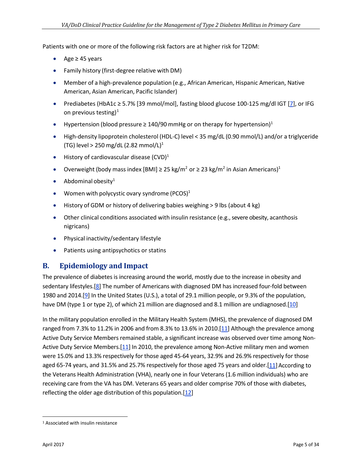Patients with one or more of the following risk factors are at higher risk for T2DM:

- Age ≥ 45 years
- Family history (first-degree relative with DM)
- Member of a high-prevalence population (e.g., African American, Hispanic American, Native American, Asian American, Pacific Islander)
- Prediabetes (HbA1c ≥ 5.7% [39 mmol/mol], fasting blood glucose 100-125 mg/dl IGT [\[7\]](#page-32-7), or IFG on previous testing)<sup>[1](#page-4-1)</sup>
- Hypertension (blood pressure  $\geq 140/90$  mmHg or on therapy for hypertension)<sup>1</sup>
- High-density lipoprotein cholesterol (HDL-C) level < 35 mg/dL (0.90 mmol/L) and/or a triglyceride (TG) level > 250 mg/dL (2.82 mmol/L)<sup>1</sup>
- History of cardiovascular disease  $(CVD)^1$
- Overweight (body mass index [BMI]  $\geq$  25 kg/m<sup>2</sup> or  $\geq$  23 kg/m<sup>2</sup> in Asian Americans)<sup>1</sup>
- Abdominal obesity $1$
- Women with polycystic ovary syndrome (PCOS) $1$
- History of GDM or history of delivering babies weighing > 9 lbs (about 4 kg)
- Other clinical conditions associated with insulin resistance (e.g., severe obesity, acanthosis nigricans)
- Physical inactivity/sedentary lifestyle
- Patients using antipsychotics or statins

#### <span id="page-4-0"></span>**B. Epidemiology and Impact**

The prevalence of diabetes is increasing around the world, mostly due to the increase in obesity and sedentary lifestyles.[\[8\]](#page-32-8) The number of Americans with diagnosed DM has increased four-fold between 1980 and 2014.[\[9\]](#page-32-9) In the United States (U.S.), a total of 29.1 million people, or 9.3% of the population, have DM (type 1 or type 2), of which 21 million are diagnosed and 8.1 million are undiagnosed.[\[10\]](#page-32-10)

In the military population enrolled in the Military Health System (MHS), the prevalence of diagnosed DM ranged from 7.3% to 11.2% in 2006 and from 8.3% to 13.6% in 2010.[\[11\]](#page-32-11) Although the prevalence among Active Duty Service Members remained stable, a significant increase was observed over time among Non-Active Duty Service Members.[\[11\]](#page-32-11) In 2010, the prevalence among Non-Active military men and women were 15.0% and 13.3% respectively for those aged 45-64 years, 32.9% and 26.9% respectively for those aged 65-74 years, and 31.5% and 25.7% respectively for those aged 75 years and older.[\[11\]](#page-32-11) According to the Veterans Health Administration (VHA), nearly one in four Veterans (1.6 million individuals) who are receiving care from the VA has DM. Veterans 65 years and older comprise 70% of those with diabetes, reflecting the older age distribution of this population.[\[12\]](#page-32-12)

<span id="page-4-1"></span> <sup>1</sup> Associated with insulin resistance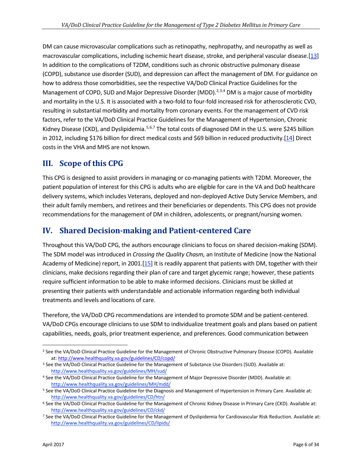DM can cause microvascular complications such as retinopathy, nephropathy, and neuropathy as well as macrovascular complications, including ischemic heart disease, stroke, and peripheral vascular disease.[\[13\]](#page-32-13) In addition to the complications of T2DM, conditions such as chronic obstructive pulmonary disease (COPD), substance use disorder (SUD), and depression can affect the management of DM. For guidance on how to address those comorbidities, see the respective VA/DoD Clinical Practice Guidelines for the Management of COPD, SUD and Major Depressive Disorder (MDD).<sup>[2,](#page-5-2)[3](#page-5-3),[4](#page-5-4)</sup> DM is a major cause of morbidity and mortality in the U.S. It is associated with a two-fold to four-fold increased risk for atherosclerotic CVD, resulting in substantial morbidity and mortality from coronary events. For the management of CVD risk factors, refer to the VA/DoD Clinical Practice Guidelines for the Management of Hypertension, Chronic Kidney Disease (CKD), and Dyslipidemia.<sup>[5](#page-5-5),[6,](#page-5-6)[7](#page-5-7)</sup> The total costs of diagnosed DM in the U.S. were \$245 billion in 2012, including \$176 billion for direct medical costs and \$69 billion in reduced productivity.[\[14\]](#page-32-14) Direct costs in the VHA and MHS are not known.

### <span id="page-5-0"></span>**III. Scope of this CPG**

This CPG is designed to assist providers in managing or co-managing patients with T2DM. Moreover, the patient population of interest for this CPG is adults who are eligible for care in the VA and DoD healthcare delivery systems, which includes Veterans, deployed and non-deployed Active Duty Service Members, and their adult family members, and retirees and their beneficiaries or dependents. This CPG does not provide recommendations for the management of DM in children, adolescents, or pregnant/nursing women.

### <span id="page-5-1"></span>**IV. Shared Decision-making and Patient-centered Care**

Throughout this VA/DoD CPG, the authors encourage clinicians to focus on shared decision-making (SDM). The SDM model was introduced in *Crossing the Quality Chasm,* an Institute of Medicine (now the National Academy of Medicine) report, in 2001.[\[15\]](#page-32-15) It is readily apparent that patients with DM, together with their clinicians, make decisions regarding their plan of care and target glycemic range; however, these patients require sufficient information to be able to make informed decisions. Clinicians must be skilled at presenting their patients with understandable and actionable information regarding both individual treatments and levels and locations of care.

Therefore, the VA/DoD CPG recommendations are intended to promote SDM and be patient-centered. VA/DoD CPGs encourage clinicians to use SDM to individualize treatment goals and plans based on patient capabilities, needs, goals, prior treatment experience, and preferences. Good communication between

<span id="page-5-2"></span><sup>2</sup> See the VA/DoD Clinical Practice Guideline for the Management of Chronic Obstructive Pulmonary Disease (COPD). Available at: http://www.healthquality.va.gov/guidelines/CD/copd/

<span id="page-5-3"></span><sup>&</sup>lt;sup>3</sup> See the VA/DoD Clinical Practice Guideline for the Management of Substance Use Disorders (SUD). Available at: <http://www.healthquality.va.gov/guidelines/MH/sud/>

<span id="page-5-4"></span><sup>4</sup> See the VA/DoD Clinical Practice Guideline for the Management of Major Depressive Disorder (MDD). Available at: <http://www.healthquality.va.gov/guidelines/MH/mdd/>

<span id="page-5-5"></span><sup>5</sup> See the VA/DoD Clinical Practice Guideline for the Diagnosis and Management of Hypertension in Primary Care. Available at: <http://www.healthquality.va.gov/guidelines/CD/htn/>

<span id="page-5-6"></span><sup>6</sup> See the VA/DoD Clinical Practice Guideline for the Management of Chronic Kidney Disease in Primary Care (CKD). Available at: <http://www.healthquality.va.gov/guidelines/CD/ckd/>

<span id="page-5-7"></span><sup>7</sup> See the VA/DoD Clinical Practice Guideline for the Management of Dyslipidemia for Cardiovascular Risk Reduction. Available at: <http://www.healthquality.va.gov/guidelines/CD/lipids/>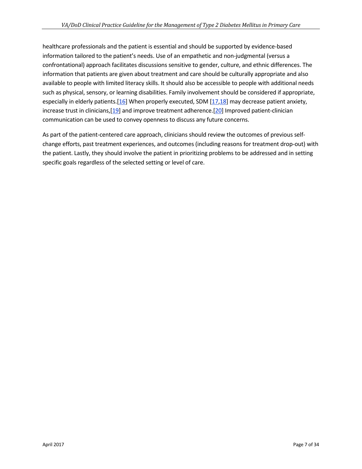healthcare professionals and the patient is essential and should be supported by evidence-based information tailored to the patient's needs. Use of an empathetic and non-judgmental (versus a confrontational) approach facilitates discussions sensitive to gender, culture, and ethnic differences. The information that patients are given about treatment and care should be culturally appropriate and also available to people with limited literacy skills. It should also be accessible to people with additional needs such as physical, sensory, or learning disabilities. Family involvement should be considered if appropriate, especially in elderly patients.[\[16\]](#page-32-16) When properly executed, SDM [\[17](#page-32-17)[,18\]](#page-32-18) may decrease patient anxiety, increase trust in clinicians,[\[19\]](#page-32-19) and improve treatment adherence.[\[20\]](#page-33-0) Improved patient-clinician communication can be used to convey openness to discuss any future concerns.

As part of the patient-centered care approach, clinicians should review the outcomes of previous selfchange efforts, past treatment experiences, and outcomes (including reasons for treatment drop-out) with the patient. Lastly, they should involve the patient in prioritizing problems to be addressed and in setting specific goals regardless of the selected setting or level of care.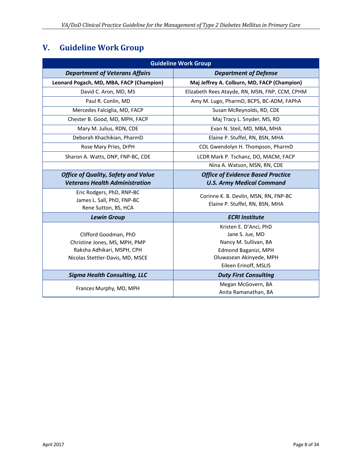# <span id="page-7-0"></span>**V. Guideline Work Group**

| <b>Guideline Work Group</b>                                                                                              |                                                                                                                                                |  |  |  |  |
|--------------------------------------------------------------------------------------------------------------------------|------------------------------------------------------------------------------------------------------------------------------------------------|--|--|--|--|
| <b>Department of Veterans Affairs</b>                                                                                    | <b>Department of Defense</b>                                                                                                                   |  |  |  |  |
| Leonard Pogach, MD, MBA, FACP (Champion)                                                                                 | Maj Jeffrey A. Colburn, MD, FACP (Champion)                                                                                                    |  |  |  |  |
| David C. Aron, MD, MS                                                                                                    | Elizabeth Rees Atayde, RN, MSN, FNP, CCM, CPHM                                                                                                 |  |  |  |  |
| Paul R. Conlin, MD                                                                                                       | Amy M. Lugo, PharmD, BCPS, BC-ADM, FAPhA                                                                                                       |  |  |  |  |
| Mercedes Falciglia, MD, FACP                                                                                             | Susan McReynolds, RD, CDE                                                                                                                      |  |  |  |  |
| Chester B. Good, MD, MPH, FACP                                                                                           | Maj Tracy L. Snyder, MS, RD                                                                                                                    |  |  |  |  |
| Mary M. Julius, RDN, CDE                                                                                                 | Evan N. Steil, MD, MBA, MHA                                                                                                                    |  |  |  |  |
| Deborah Khachikian, PharmD                                                                                               | Elaine P. Stuffel, RN, BSN, MHA                                                                                                                |  |  |  |  |
| Rose Mary Pries, DrPH                                                                                                    | COL Gwendolyn H. Thompson, PharmD                                                                                                              |  |  |  |  |
| Sharon A. Watts, DNP, FNP-BC, CDE                                                                                        | LCDR Mark P. Tschanz, DO, MACM, FACP                                                                                                           |  |  |  |  |
|                                                                                                                          | Nina A. Watson, MSN, RN, CDE                                                                                                                   |  |  |  |  |
| <b>Office of Quality, Safety and Value</b><br><b>Veterans Health Administration</b>                                      | <b>Office of Evidence Based Practice</b><br><b>U.S. Army Medical Command</b>                                                                   |  |  |  |  |
| Eric Rodgers, PhD, RNP-BC<br>James L. Sall, PhD, FNP-BC<br>Rene Sutton, BS, HCA                                          | Corinne K. B. Devlin, MSN, RN, FNP-BC<br>Elaine P. Stuffel, RN, BSN, MHA                                                                       |  |  |  |  |
| <b>Lewin Group</b>                                                                                                       | <b>ECRI Institute</b>                                                                                                                          |  |  |  |  |
| Clifford Goodman, PhD<br>Christine Jones, MS, MPH, PMP<br>Raksha Adhikari, MSPH, CPH<br>Nicolas Stettler-Davis, MD, MSCE | Kristen E. D'Anci, PhD<br>Jane S. Jue, MD<br>Nancy M. Sullivan, BA<br>Edmond Baganizi, MPH<br>Oluwasean Akinyede, MPH<br>Eileen Erinoff, MSLIS |  |  |  |  |
| <b>Sigma Health Consulting, LLC</b>                                                                                      | <b>Duty First Consulting</b>                                                                                                                   |  |  |  |  |
| Frances Murphy, MD, MPH                                                                                                  | Megan McGovern, BA<br>Anita Ramanathan, BA                                                                                                     |  |  |  |  |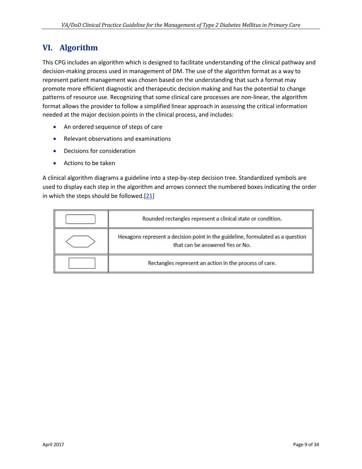### <span id="page-8-0"></span>**VI. Algorithm**

This CPG includes an algorithm which is designed to facilitate understanding of the clinical pathway and decision-making process used in management of DM. The use of the algorithm format as a way to represent patient management was chosen based on the understanding that such a format may promote more efficient diagnostic and therapeutic decision making and has the potential to change patterns of resource use. Recognizing that some clinical care processes are non-linear, the algorithm format allows the provider to follow a simplified linear approach in assessing the critical information needed at the major decision points in the clinical process, and includes:

- An ordered sequence of steps of care
- Relevant observations and examinations
- Decisions for consideration
- Actions to be taken

A clinical algorithm diagrams a guideline into a step-by-step decision tree. Standardized symbols are used to display each step in the algorithm and arrows connect the numbered boxes indicating the order in which the steps should be followed. $[21]$ 

| Rounded rectangles represent a clinical state or condition.                                                       |
|-------------------------------------------------------------------------------------------------------------------|
| Hexagons represent a decision point in the guideline, formulated as a question<br>that can be answered Yes or No. |
| Rectangles represent an action in the process of care.                                                            |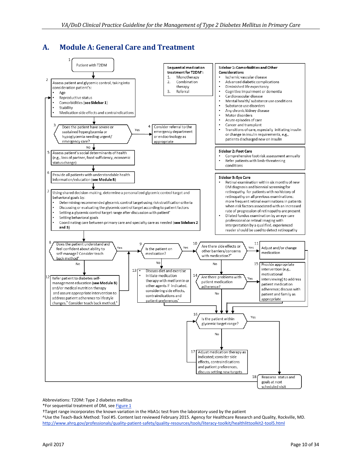### <span id="page-9-0"></span>**A. Module A: General Care and Treatment**



Abbreviations: T2DM: Type 2 diabetes mellitus

\*For sequential treatment of DM, se[e Figure 1](#page-15-0)

†Target range incorporates the known variation in the HbA1c test from the laboratory used by the patient

^Use the Teach-Back Method: Tool #5. Content last reviewed February 2015. Agency for Healthcare Research and Quality, Rockville, MD. <http://www.ahrq.gov/professionals/quality-patient-safety/quality-resources/tools/literacy-toolkit/healthlittoolkit2-tool5.html>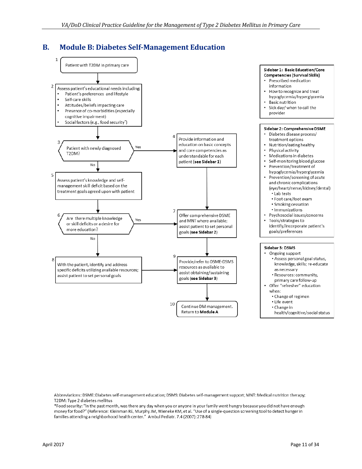#### <span id="page-10-0"></span>**B. Module B: Diabetes Self-Management Education**

![](_page_10_Figure_2.jpeg)

Abbreviations: DSME: Diabetes self-management education; DSMS: Diabetes self-management support; MNT: Medical nutrition therapy; T2DM: Type 2 diabetes mellitus

\*Food security: "In the past month, was there any day when you or anyone in your family went hungry because you did not have enough money for food?" (Reference: Kleinman RE, Murphy JM, Wieneke KM, et al. "Use of a single-question screening tool to detect hunger in families attending a neighborhood health center." Ambul Pediatr. 7.4 (2007): 278-84)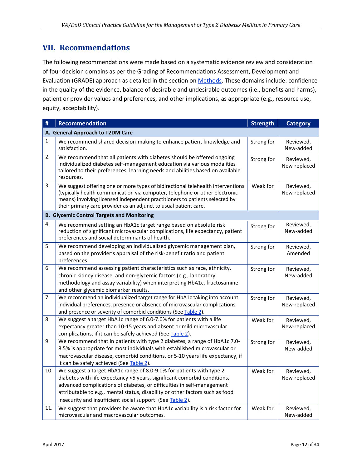### <span id="page-11-0"></span>**VII. Recommendations**

The following recommendations were made based on a systematic evidence review and consideration of four decision domains as per the Grading of Recommendations Assessment, Development and Evaluation (GRADE) approach as detailed in the section o[n Methods.](#page-28-0) These domains include: confidence in the quality of the evidence, balance of desirable and undesirable outcomes (i.e., benefits and harms), patient or provider values and preferences, and other implications, as appropriate (e.g., resource use, equity, acceptability).

<span id="page-11-3"></span><span id="page-11-2"></span><span id="page-11-1"></span>

| #   | <b>Recommendation</b>                                                                                                                                                                                                                                                                                                                                                     | <b>Strength</b> | <b>Category</b>           |
|-----|---------------------------------------------------------------------------------------------------------------------------------------------------------------------------------------------------------------------------------------------------------------------------------------------------------------------------------------------------------------------------|-----------------|---------------------------|
|     | A. General Approach to T2DM Care                                                                                                                                                                                                                                                                                                                                          |                 |                           |
| 1.  | We recommend shared decision-making to enhance patient knowledge and<br>satisfaction.                                                                                                                                                                                                                                                                                     | Strong for      | Reviewed,<br>New-added    |
| 2.  | We recommend that all patients with diabetes should be offered ongoing<br>individualized diabetes self-management education via various modalities<br>tailored to their preferences, learning needs and abilities based on available<br>resources.                                                                                                                        | Strong for      | Reviewed,<br>New-replaced |
| 3.  | We suggest offering one or more types of bidirectional telehealth interventions<br>(typically health communication via computer, telephone or other electronic<br>means) involving licensed independent practitioners to patients selected by<br>their primary care provider as an adjunct to usual patient care.                                                         | Weak for        | Reviewed,<br>New-replaced |
|     | <b>B. Glycemic Control Targets and Monitoring</b>                                                                                                                                                                                                                                                                                                                         |                 |                           |
| 4.  | We recommend setting an HbA1c target range based on absolute risk<br>reduction of significant microvascular complications, life expectancy, patient<br>preferences and social determinants of health.                                                                                                                                                                     | Strong for      | Reviewed,<br>New-added    |
| 5.  | We recommend developing an individualized glycemic management plan,<br>based on the provider's appraisal of the risk-benefit ratio and patient<br>preferences.                                                                                                                                                                                                            | Strong for      | Reviewed,<br>Amended      |
| 6.  | We recommend assessing patient characteristics such as race, ethnicity,<br>chronic kidney disease, and non-glycemic factors (e.g., laboratory<br>methodology and assay variability) when interpreting HbA1c, fructosamine<br>and other glycemic biomarker results.                                                                                                        | Strong for      | Reviewed,<br>New-added    |
| 7.  | We recommend an individualized target range for HbA1c taking into account<br>individual preferences, presence or absence of microvascular complications,<br>and presence or severity of comorbid conditions (See Table 2).                                                                                                                                                | Strong for      | Reviewed,<br>New-replaced |
| 8.  | We suggest a target HbA1c range of 6.0-7.0% for patients with a life<br>expectancy greater than 10-15 years and absent or mild microvascular<br>complications, if it can be safely achieved (See Table 2).                                                                                                                                                                | Weak for        | Reviewed,<br>New-replaced |
| 9.  | We recommend that in patients with type 2 diabetes, a range of HbA1c 7.0-<br>8.5% is appropriate for most individuals with established microvascular or<br>macrovascular disease, comorbid conditions, or 5-10 years life expectancy, if<br>it can be safely achieved (See Table 2).                                                                                      | Strong for      | Reviewed,<br>New-added    |
| 10. | We suggest a target HbA1c range of 8.0-9.0% for patients with type 2<br>diabetes with life expectancy <5 years, significant comorbid conditions,<br>advanced complications of diabetes, or difficulties in self-management<br>attributable to e.g., mental status, disability or other factors such as food<br>insecurity and insufficient social support. (See Table 2). | Weak for        | Reviewed,<br>New-replaced |
| 11. | We suggest that providers be aware that HbA1c variability is a risk factor for<br>microvascular and macrovascular outcomes.                                                                                                                                                                                                                                               | Weak for        | Reviewed,<br>New-added    |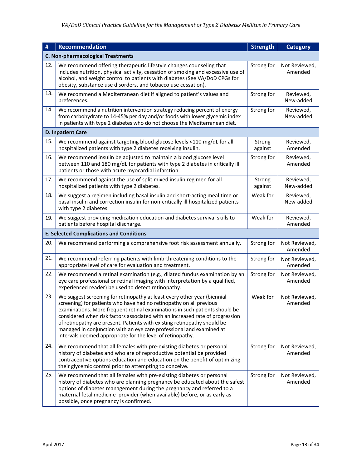| #   | Recommendation                                                                                                                                                                                                                                                                                                                                                                                                                                                                                                                    | <b>Strength</b>   | <b>Category</b>          |
|-----|-----------------------------------------------------------------------------------------------------------------------------------------------------------------------------------------------------------------------------------------------------------------------------------------------------------------------------------------------------------------------------------------------------------------------------------------------------------------------------------------------------------------------------------|-------------------|--------------------------|
|     | <b>C. Non-pharmacological Treatments</b>                                                                                                                                                                                                                                                                                                                                                                                                                                                                                          |                   |                          |
| 12. | We recommend offering therapeutic lifestyle changes counseling that<br>includes nutrition, physical activity, cessation of smoking and excessive use of<br>alcohol, and weight control to patients with diabetes (See VA/DoD CPGs for<br>obesity, substance use disorders, and tobacco use cessation).                                                                                                                                                                                                                            | Strong for        | Not Reviewed,<br>Amended |
| 13. | We recommend a Mediterranean diet if aligned to patient's values and<br>preferences.                                                                                                                                                                                                                                                                                                                                                                                                                                              | Strong for        | Reviewed,<br>New-added   |
| 14. | We recommend a nutrition intervention strategy reducing percent of energy<br>from carbohydrate to 14-45% per day and/or foods with lower glycemic index<br>in patients with type 2 diabetes who do not choose the Mediterranean diet.                                                                                                                                                                                                                                                                                             | Strong for        | Reviewed,<br>New-added   |
|     | <b>D. Inpatient Care</b>                                                                                                                                                                                                                                                                                                                                                                                                                                                                                                          |                   |                          |
| 15. | We recommend against targeting blood glucose levels <110 mg/dL for all<br>hospitalized patients with type 2 diabetes receiving insulin.                                                                                                                                                                                                                                                                                                                                                                                           | Strong<br>against | Reviewed,<br>Amended     |
| 16. | We recommend insulin be adjusted to maintain a blood glucose level<br>between 110 and 180 mg/dL for patients with type 2 diabetes in critically ill<br>patients or those with acute myocardial infarction.                                                                                                                                                                                                                                                                                                                        | Strong for        | Reviewed,<br>Amended     |
| 17. | We recommend against the use of split mixed insulin regimen for all<br>hospitalized patients with type 2 diabetes.                                                                                                                                                                                                                                                                                                                                                                                                                | Strong<br>against | Reviewed,<br>New-added   |
| 18. | We suggest a regimen including basal insulin and short-acting meal time or<br>basal insulin and correction insulin for non-critically ill hospitalized patients<br>with type 2 diabetes.                                                                                                                                                                                                                                                                                                                                          | Weak for          | Reviewed,<br>New-added   |
| 19. | We suggest providing medication education and diabetes survival skills to<br>patients before hospital discharge.                                                                                                                                                                                                                                                                                                                                                                                                                  | Weak for          | Reviewed,<br>Amended     |
|     | <b>E. Selected Complications and Conditions</b>                                                                                                                                                                                                                                                                                                                                                                                                                                                                                   |                   |                          |
| 20. | We recommend performing a comprehensive foot risk assessment annually.                                                                                                                                                                                                                                                                                                                                                                                                                                                            | Strong for        | Not Reviewed,<br>Amended |
| 21. | We recommend referring patients with limb-threatening conditions to the<br>appropriate level of care for evaluation and treatment.                                                                                                                                                                                                                                                                                                                                                                                                | Strong for        | Not Reviewed,<br>Amended |
| 22. | We recommend a retinal examination (e.g., dilated fundus examination by an<br>eye care professional or retinal imaging with interpretation by a qualified,<br>experienced reader) be used to detect retinopathy.                                                                                                                                                                                                                                                                                                                  | Strong for        | Not Reviewed,<br>Amended |
| 23. | We suggest screening for retinopathy at least every other year (biennial<br>screening) for patients who have had no retinopathy on all previous<br>examinations. More frequent retinal examinations in such patients should be<br>considered when risk factors associated with an increased rate of progression<br>of retinopathy are present. Patients with existing retinopathy should be<br>managed in conjunction with an eye care professional and examined at<br>intervals deemed appropriate for the level of retinopathy. | Weak for          | Not Reviewed,<br>Amended |
| 24. | We recommend that all females with pre-existing diabetes or personal<br>history of diabetes and who are of reproductive potential be provided<br>contraceptive options education and education on the benefit of optimizing<br>their glycemic control prior to attempting to conceive.                                                                                                                                                                                                                                            | Strong for        | Not Reviewed,<br>Amended |
| 25. | We recommend that all females with pre-existing diabetes or personal<br>history of diabetes who are planning pregnancy be educated about the safest<br>options of diabetes management during the pregnancy and referred to a<br>maternal fetal medicine provider (when available) before, or as early as<br>possible, once pregnancy is confirmed.                                                                                                                                                                                | Strong for        | Not Reviewed,<br>Amended |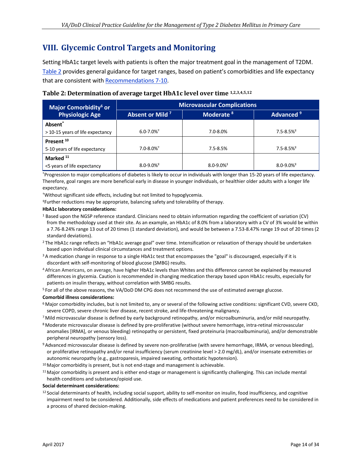### <span id="page-13-0"></span>**VIII. Glycemic Control Targets and Monitoring**

Setting HbA1c target levels with patients is often the major treatment goal in the management of T2DM. [Table 2](#page-13-1) provides general guidance for target ranges, based on patient's comorbidities and life expectancy that are consistent wit[h Recommendations 7-10.](#page-11-1)

<span id="page-13-1"></span>**Table 2: Determination of average target HbA1c level over time 1,2,3,4,5,12**

| Major Comorbidity <sup>6</sup> or | <b>Microvascular Complications</b> |                            |                            |  |  |  |  |
|-----------------------------------|------------------------------------|----------------------------|----------------------------|--|--|--|--|
| <b>Physiologic Age</b>            | Absent or Mild <sup>7</sup>        | Moderate <sup>8</sup>      | Advanced <sup>9</sup>      |  |  |  |  |
| Absent <sup>*</sup>               |                                    |                            |                            |  |  |  |  |
| > 10-15 years of life expectancy  | $6.0 - 7.0\%$ <sup>+</sup>         | 7.0-8.0%                   | $7.5 - 8.5%$ <sup>‡</sup>  |  |  |  |  |
| Present <sup>10</sup>             |                                    |                            |                            |  |  |  |  |
| 5-10 years of life expectancy     | $7.0 - 8.0\%$ <sup>+</sup>         | $7.5 - 8.5%$               | $7.5 - 8.5%$               |  |  |  |  |
| Marked <sup>11</sup>              |                                    |                            |                            |  |  |  |  |
| <5 years of life expectancy       | $8.0 - 9.0\%$ <sup>‡</sup>         | $8.0 - 9.0\%$ <sup>#</sup> | $8.0 - 9.0\%$ <sup>#</sup> |  |  |  |  |

\*Progression to major complications of diabetes is likely to occur in individuals with longer than 15-20 years of life expectancy. Therefore, goal ranges are more beneficial early in disease in younger individuals, or healthier older adults with a longer life expectancy.

†Without significant side effects, including but not limited to hypoglycemia.

‡Further reductions may be appropriate, balancing safety and tolerability of therapy.

#### **HbA1c laboratory considerations:**

- <sup>1</sup> Based upon the NGSP reference standard. Clinicians need to obtain information regarding the coefficient of variation (CV) from the methodology used at their site. As an example, an HbA1c of 8.0% from a laboratory with a CV of 3% would be within a 7.76-8.24% range 13 out of 20 times (1 standard deviation), and would be between a 7.53-8.47% range 19 out of 20 times (2 standard deviations).
- 2 The HbA1c range reflects an "HbA1c average goal" over time. Intensification or relaxation of therapy should be undertaken based upon individual clinical circumstances and treatment options.
- <sup>3</sup> A medication change in response to a single HbA1c test that encompasses the "goal" is discouraged, especially if it is discordant with self-monitoring of blood glucose (SMBG) results.
- 4 African Americans, on average, have higher HbA1c levels than Whites and this difference cannot be explained by measured differences in glycemia. Caution is recommended in changing medication therapy based upon HbA1c results, especially for patients on insulin therapy, without correlation with SMBG results.

5 For all of the above reasons, the VA/DoD DM CPG does not recommend the use of estimated average glucose.

#### **Comorbid illness considerations:**

- 6 Major comorbidity includes, but is not limited to, any or several of the following active conditions: significant CVD, severe CKD, severe COPD, severe chronic liver disease, recent stroke, and life-threatening malignancy.
- 7 Mild microvascular disease is defined by early background retinopathy, and/or microalbuminuria, and/or mild neuropathy.
- 8 Moderate microvascular disease is defined by pre-proliferative (without severe hemorrhage, intra-retinal microvascular anomalies [IRMA], or venous bleeding) retinopathy or persistent, fixed proteinuria (macroalbuminuria), and/or demonstrable peripheral neuropathy (sensory loss).
- 9 Advanced microvascular disease is defined by severe non-proliferative (with severe hemorrhage, IRMA, or venous bleeding), or proliferative retinopathy and/or renal insufficiency (serum creatinine level > 2.0 mg/dL), and/or insensate extremities or autonomic neuropathy (e.g., gastroparesis, impaired sweating, orthostatic hypotension).
- $10$  Major comorbidity is present, but is not end-stage and management is achievable.
- $11$  Major comorbidity is present and is either end-stage or management is significantly challenging. This can include mental health conditions and substance/opioid use.

#### **Social determinant considerations:**

12 Social determinants of health, including social support, ability to self-monitor on insulin, food insufficiency, and cognitive impairment need to be considered. Additionally, side effects of medications and patient preferences need to be considered in a process of shared decision-making.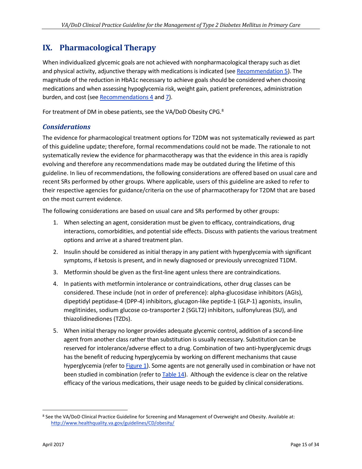### <span id="page-14-0"></span>**IX. Pharmacological Therapy**

When individualized glycemic goals are not achieved with nonpharmacological therapy such as diet and physical activity, adjunctive therapy with medications is indicated (se[e Recommendation 5\)](#page-11-2). The magnitude of the reduction in HbA1c necessary to achieve goals should be considered when choosing medications and when assessing hypoglycemia risk, weight gain, patient preferences, administration burden, and cost (see [Recommendations 4](#page-11-3) an[d 7\)](#page-11-1).

For treatment of DM in obese patients, see the VA/DoD Obesity CPG. $^8$  $^8$ 

#### *Considerations*

The evidence for pharmacological treatment options for T2DM was not systematically reviewed as part of this guideline update; therefore, formal recommendations could not be made. The rationale to not systematically review the evidence for pharmacotherapy was that the evidence in this area is rapidly evolving and therefore any recommendations made may be outdated during the lifetime of this guideline. In lieu of recommendations, the following considerations are offered based on usual care and recent SRs performed by other groups. Where applicable, users of this guideline are asked to refer to their respective agencies for guidance/criteria on the use of pharmacotherapy for T2DM that are based on the most current evidence.

The following considerations are based on usual care and SRs performed by other groups:

- 1. When selecting an agent, consideration must be given to efficacy, contraindications, drug interactions, comorbidities, and potential side effects. Discuss with patients the various treatment options and arrive at a shared treatment plan.
- 2. Insulin should be considered as initial therapy in any patient with hyperglycemia with significant symptoms, if ketosis is present, and in newly diagnosed or previously unrecognized T1DM.
- 3. Metformin should be given as the first-line agent unless there are contraindications.
- 4. In patients with metformin intolerance or contraindications, other drug classes can be considered. These include (not in order of preference): alpha-glucosidase inhibitors (AGIs), dipeptidyl peptidase-4 (DPP-4) inhibitors, glucagon-like peptide-1 (GLP-1) agonists, insulin, meglitinides, sodium glucose co-transporter 2 (SGLT2) inhibitors, sulfonylureas (SU), and thiazolidinediones (TZDs).
- 5. When initial therapy no longer provides adequate glycemic control, addition of a second-line agent from another class rather than substitution is usually necessary. Substitution can be reserved for intolerance/adverse effect to a drug. Combination of two anti-hyperglycemic drugs has the benefit of reducing hyperglycemia by working on different mechanisms that cause hyperglycemia (refer to [Figure 1\)](#page-15-0). Some agents are not generally used in combination or have not been studied in combination (refer t[o Table 14\)](#page-28-2). Although the evidence is clear on the relative efficacy of the various medications, their usage needs to be guided by clinical considerations.

<span id="page-14-1"></span> <sup>8</sup> See the VA/DoD Clinical Practice Guideline for Screening and Management of Overweight and Obesity. Available at: <http://www.healthquality.va.gov/guidelines/CD/obesity/>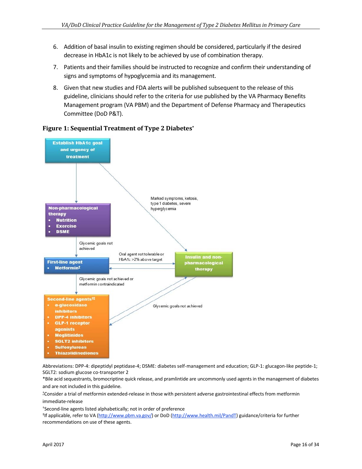- 6. Addition of basal insulin to existing regimen should be considered, particularly if the desired decrease in HbA1c is not likely to be achieved by use of combination therapy.
- 7. Patients and their families should be instructed to recognize and confirm their understanding of signs and symptoms of hypoglycemia and its management.
- 8. Given that new studies and FDA alerts will be published subsequent to the release of this guideline, clinicians should refer to the criteria for use published by the VA Pharmacy Benefits Management program (VA PBM) and the Department of Defense Pharmacy and Therapeutics Committee (DoD P&T).

![](_page_15_Figure_4.jpeg)

#### <span id="page-15-0"></span>**Figure 1: Sequential Treatment of Type 2 Diabetes\***

Abbreviations: DPP-4: dipeptidyl peptidase-4; DSME: diabetes self-management and education; GLP-1: glucagon-like peptide-1; SGLT2: sodium glucose co-transporter 2

\*Bile acid sequestrants, bromocriptine quick release, and pramlintide are uncommonly used agents in the management of diabetes and are not included in this guideline.

†Consider a trial of metformin extended-release in those with persistent adverse gastrointestinal effects from metformin immediate-release

<sup>+</sup>Second-line agents listed alphabetically; not in order of preference

‡If applicable, refer to VA [\(http://www.pbm.va.gov/\)](http://www.pbm.va.gov/) or DoD [\(http://www.health.mil/PandT\)](http://www.health.mil/PandT) guidance/criteria for further recommendations on use of these agents.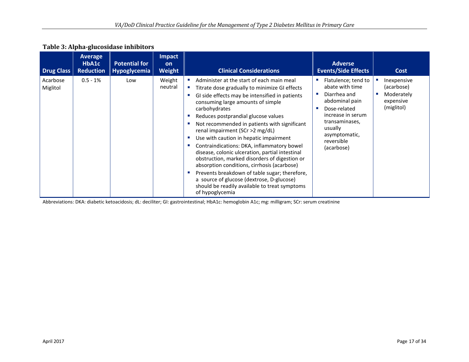| <b>Drug Class</b>    | <b>Average</b><br>HbA1c<br><b>Reduction</b> | <b>Potential for</b><br><b>Hypoglycemia</b> | <b>Impact</b><br><b>on</b><br><b>Weight</b> | <b>Clinical Considerations</b>                                                                                                                                                                                                                                                                                                                                                                                                                                                                                                                                                                                                                                                                                                            | <b>Adverse</b><br><b>Events/Side Effects</b>                                                                                                                                                          | <b>Cost</b>                                                        |
|----------------------|---------------------------------------------|---------------------------------------------|---------------------------------------------|-------------------------------------------------------------------------------------------------------------------------------------------------------------------------------------------------------------------------------------------------------------------------------------------------------------------------------------------------------------------------------------------------------------------------------------------------------------------------------------------------------------------------------------------------------------------------------------------------------------------------------------------------------------------------------------------------------------------------------------------|-------------------------------------------------------------------------------------------------------------------------------------------------------------------------------------------------------|--------------------------------------------------------------------|
| Acarbose<br>Miglitol | $0.5 - 1%$                                  | Low                                         | Weight<br>neutral                           | Administer at the start of each main meal<br>Titrate dose gradually to minimize GI effects<br>GI side effects may be intensified in patients<br>consuming large amounts of simple<br>carbohydrates<br>Reduces postprandial glucose values<br>Not recommended in patients with significant<br>renal impairment (SCr >2 mg/dL)<br>Use with caution in hepatic impairment<br>Contraindications: DKA, inflammatory bowel<br>disease, colonic ulceration, partial intestinal<br>obstruction, marked disorders of digestion or<br>absorption conditions, cirrhosis (acarbose)<br>Prevents breakdown of table sugar; therefore,<br>a source of glucose (dextrose, D-glucose)<br>should be readily available to treat symptoms<br>of hypoglycemia | Flatulence; tend to<br>abate with time<br>Diarrhea and<br><b>COL</b><br>abdominal pain<br>Dose-related<br>increase in serum<br>transaminases,<br>usually<br>asymptomatic,<br>reversible<br>(acarbose) | Inexpensive<br>(acarbose)<br>Moderately<br>expensive<br>(miglitol) |

#### **Table 3: Alpha-glucosidase inhibitors**

Abbreviations: DKA: diabetic ketoacidosis; dL: deciliter; GI: gastrointestinal; HbA1c: hemoglobin A1c; mg: milligram; SCr: serum creatinine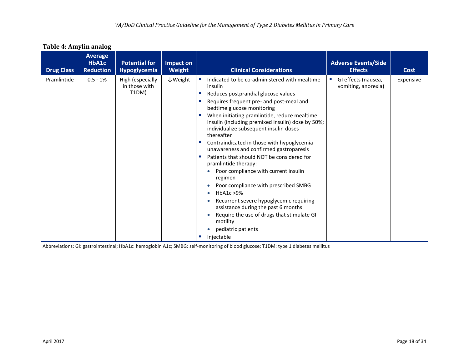#### **Table 4: Amylin analog**

| <b>Drug Class</b> | Average<br>HbA1c<br><b>Reduction</b> | <b>Potential for</b><br><b>Hypoglycemia</b> | Impact on<br>Weight | <b>Clinical Considerations</b>                                                                                                                                                                                                                                                                                                                                                                                                                                                                                                                                                                                                                                                                                                                                                                                    | <b>Adverse Events/Side</b><br><b>Effects</b> | Cost      |
|-------------------|--------------------------------------|---------------------------------------------|---------------------|-------------------------------------------------------------------------------------------------------------------------------------------------------------------------------------------------------------------------------------------------------------------------------------------------------------------------------------------------------------------------------------------------------------------------------------------------------------------------------------------------------------------------------------------------------------------------------------------------------------------------------------------------------------------------------------------------------------------------------------------------------------------------------------------------------------------|----------------------------------------------|-----------|
| Pramlintide       | $0.5 - 1%$                           | High (especially<br>in those with<br>T1DM)  | $\downarrow$ Weight | Indicated to be co-administered with mealtime<br>insulin<br>Reduces postprandial glucose values<br>×<br>Requires frequent pre- and post-meal and<br>bedtime glucose monitoring<br>When initiating pramlintide, reduce mealtime<br>insulin (including premixed insulin) dose by 50%;<br>individualize subsequent insulin doses<br>thereafter<br>Contraindicated in those with hypoglycemia<br>×<br>unawareness and confirmed gastroparesis<br>Patients that should NOT be considered for<br>п<br>pramlintide therapy:<br>Poor compliance with current insulin<br>regimen<br>Poor compliance with prescribed SMBG<br>HbA1c >9%<br>Recurrent severe hypoglycemic requiring<br>assistance during the past 6 months<br>Require the use of drugs that stimulate GI<br>motility<br>pediatric patients<br>Injectable<br>× | GI effects (nausea,<br>vomiting, anorexia)   | Expensive |

Abbreviations: GI: gastrointestinal; HbA1c: hemoglobin A1c; SMBG: self-monitoring of blood glucose; T1DM: type 1 diabetes mellitus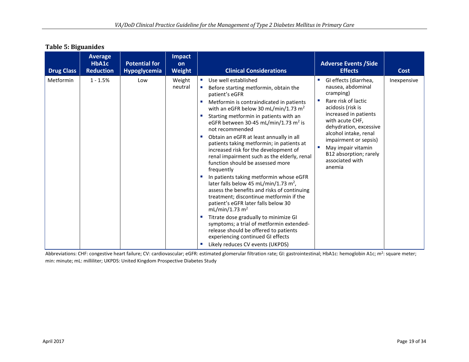#### **Table 5: Biguanides**

| <b>Drug Class</b> | <b>Average</b><br>HbA1c<br><b>Reduction</b> | <b>Potential for</b><br>Hypoglycemia | Impact<br>on<br><b>Weight</b> | <b>Clinical Considerations</b>                                                                                                                                                                                                                                                                                                                                                                                                                                                                                                                                                                                                                                                                                                                                                                                                                                                                                                                                                                 | <b>Adverse Events / Side</b><br><b>Effects</b>                                                                                                                                                                                                                                                           | <b>Cost</b> |
|-------------------|---------------------------------------------|--------------------------------------|-------------------------------|------------------------------------------------------------------------------------------------------------------------------------------------------------------------------------------------------------------------------------------------------------------------------------------------------------------------------------------------------------------------------------------------------------------------------------------------------------------------------------------------------------------------------------------------------------------------------------------------------------------------------------------------------------------------------------------------------------------------------------------------------------------------------------------------------------------------------------------------------------------------------------------------------------------------------------------------------------------------------------------------|----------------------------------------------------------------------------------------------------------------------------------------------------------------------------------------------------------------------------------------------------------------------------------------------------------|-------------|
| Metformin         | $1 - 1.5%$                                  | Low                                  | Weight<br>neutral             | Use well established<br>Before starting metformin, obtain the<br>patient's eGFR<br>Metformin is contraindicated in patients<br>with an eGFR below 30 mL/min/1.73 m <sup>2</sup><br>Starting metformin in patients with an<br>eGFR between 30-45 mL/min/1.73 $m2$ is<br>not recommended<br>Obtain an eGFR at least annually in all<br>patients taking metformin; in patients at<br>increased risk for the development of<br>renal impairment such as the elderly, renal<br>function should be assessed more<br>frequently<br>In patients taking metformin whose eGFR<br>later falls below 45 mL/min/1.73 m <sup>2</sup> ,<br>assess the benefits and risks of continuing<br>treatment; discontinue metformin if the<br>patient's eGFR later falls below 30<br>mL/min/1.73 m <sup>2</sup><br>Titrate dose gradually to minimize GI<br>symptoms; a trial of metformin extended-<br>release should be offered to patients<br>experiencing continued GI effects<br>Likely reduces CV events (UKPDS) | GI effects (diarrhea,<br>nausea, abdominal<br>cramping)<br>Rare risk of lactic<br>acidosis (risk is<br>increased in patients<br>with acute CHF,<br>dehydration, excessive<br>alcohol intake, renal<br>impairment or sepsis)<br>May impair vitamin<br>B12 absorption; rarely<br>associated with<br>anemia | Inexpensive |

Abbreviations: CHF: congestive heart failure; CV: cardiovascular; eGFR: estimated glomerular filtration rate; GI: gastrointestinal; HbA1c: hemoglobin A1c; m<sup>2</sup>: square meter; min: minute; mL: milliliter; UKPDS: United Kingdom Prospective Diabetes Study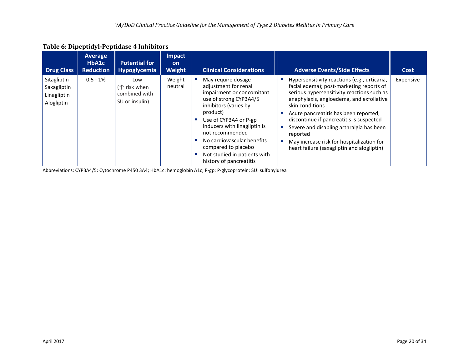### **Table 6: Dipeptidyl-Peptidase 4 Inhibitors**

| <b>Drug Class</b>                                       | Average<br>HbA1c<br><b>Reduction</b> | <b>Potential for</b><br><b>Hypoglycemia</b>                     | <b>Impact</b><br><b>on</b><br><b>Weight</b> | <b>Clinical Considerations</b>                                                                                                                                                                                                                                                                                                     | <b>Adverse Events/Side Effects</b>                                                                                                                                                                                                                                                                                                                                                                                                            | <b>Cost</b> |
|---------------------------------------------------------|--------------------------------------|-----------------------------------------------------------------|---------------------------------------------|------------------------------------------------------------------------------------------------------------------------------------------------------------------------------------------------------------------------------------------------------------------------------------------------------------------------------------|-----------------------------------------------------------------------------------------------------------------------------------------------------------------------------------------------------------------------------------------------------------------------------------------------------------------------------------------------------------------------------------------------------------------------------------------------|-------------|
| Sitagliptin<br>Saxagliptin<br>Linagliptin<br>Alogliptin | $0.5 - 1%$                           | Low<br>$(\uparrow$ risk when<br>combined with<br>SU or insulin) | Weight<br>neutral                           | May require dosage<br>adjustment for renal<br>impairment or concomitant<br>use of strong CYP3A4/5<br>inhibitors (varies by<br>product)<br>Use of CYP3A4 or P-gp<br>inducers with linagliptin is<br>not recommended<br>No cardiovascular benefits<br>compared to placebo<br>Not studied in patients with<br>history of pancreatitis | Hypersensitivity reactions (e.g., urticaria,<br>facial edema); post-marketing reports of<br>serious hypersensitivity reactions such as<br>anaphylaxis, angioedema, and exfoliative<br>skin conditions<br>Acute pancreatitis has been reported;<br>discontinue if pancreatitis is suspected<br>Severe and disabling arthralgia has been<br>reported<br>May increase risk for hospitalization for<br>heart failure (saxagliptin and alogliptin) | Expensive   |

Abbreviations: CYP3A4/5: Cytochrome P450 3A4; HbA1c: hemoglobin A1c; P-gp: P-glycoprotein; SU: sulfonylurea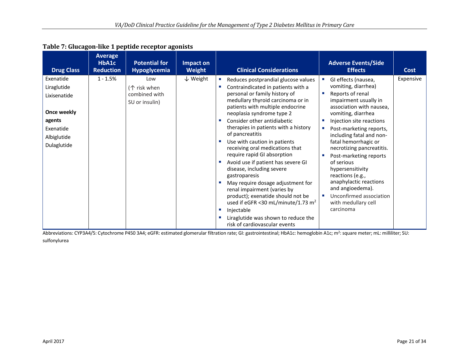| <b>Drug Class</b>                                                                                            | <b>Average</b><br>HbA1c<br><b>Reduction</b> | <b>Potential for</b><br><b>Hypoglycemia</b>            | Impact on<br>Weight | <b>Clinical Considerations</b>                                                                                                                                                                                                                                                                                                                                                                                                                                                                                                                                                                                                                                                                                                                                          | <b>Adverse Events/Side</b><br><b>Effects</b>                                                                                                                                                                                                                                                                                                                                                                                                                                             | <b>Cost</b> |
|--------------------------------------------------------------------------------------------------------------|---------------------------------------------|--------------------------------------------------------|---------------------|-------------------------------------------------------------------------------------------------------------------------------------------------------------------------------------------------------------------------------------------------------------------------------------------------------------------------------------------------------------------------------------------------------------------------------------------------------------------------------------------------------------------------------------------------------------------------------------------------------------------------------------------------------------------------------------------------------------------------------------------------------------------------|------------------------------------------------------------------------------------------------------------------------------------------------------------------------------------------------------------------------------------------------------------------------------------------------------------------------------------------------------------------------------------------------------------------------------------------------------------------------------------------|-------------|
| Exenatide<br>Liraglutide<br>Lixisenatide<br>Once weekly<br>agents<br>Exenatide<br>Albiglutide<br>Dulaglutide | $1 - 1.5%$                                  | Low<br>(个 risk when<br>combined with<br>SU or insulin) | $\downarrow$ Weight | Reduces postprandial glucose values<br>×<br>Contraindicated in patients with a<br>×.<br>personal or family history of<br>medullary thyroid carcinoma or in<br>patients with multiple endocrine<br>neoplasia syndrome type 2<br>Consider other antidiabetic<br>therapies in patients with a history<br>of pancreatitis<br>Use with caution in patients<br>×.<br>receiving oral medications that<br>require rapid GI absorption<br>Avoid use if patient has severe GI<br>disease, including severe<br>gastroparesis<br>May require dosage adjustment for<br>renal impairment (varies by<br>product); exenatide should not be<br>used if eGFR <30 mL/minute/1.73 m <sup>2</sup><br>Injectable<br>ш<br>Liraglutide was shown to reduce the<br>risk of cardiovascular events | GI effects (nausea,<br>vomiting, diarrhea)<br>Reports of renal<br>п<br>impairment usually in<br>association with nausea,<br>vomiting, diarrhea<br>Injection site reactions<br>Post-marketing reports,<br>п<br>including fatal and non-<br>fatal hemorrhagic or<br>necrotizing pancreatitis.<br>Post-marketing reports<br>of serious<br>hypersensitivity<br>reactions (e.g.,<br>anaphylactic reactions<br>and angioedema).<br>Unconfirmed association<br>with medullary cell<br>carcinoma | Expensive   |

Abbreviations: CYP3A4/5: Cytochrome P450 3A4; eGFR: estimated glomerular filtration rate; GI: gastrointestinal; HbA1c: hemoglobin A1c; m<sup>2</sup>: square meter; mL: milliliter; SU: sulfonylurea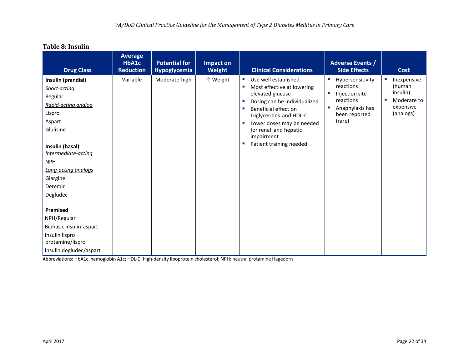| <b>Drug Class</b>                                                                                                                                                                                                       | <b>Average</b><br>HbA1c<br><b>Reduction</b> | <b>Potential for</b><br>Hypoglycemia | Impact on<br>Weight | <b>Clinical Considerations</b>                                                                                                                                                                                                                                                                                                                              | <b>Adverse Events /</b><br><b>Side Effects</b>                                                                                         | <b>Cost</b>                                                                |
|-------------------------------------------------------------------------------------------------------------------------------------------------------------------------------------------------------------------------|---------------------------------------------|--------------------------------------|---------------------|-------------------------------------------------------------------------------------------------------------------------------------------------------------------------------------------------------------------------------------------------------------------------------------------------------------------------------------------------------------|----------------------------------------------------------------------------------------------------------------------------------------|----------------------------------------------------------------------------|
| Insulin (prandial)<br>Short-acting<br>Regular<br>Rapid-acting analog<br>Lispro<br>Aspart<br>Glulisine<br>Insulin (basal)<br>Intermediate-acting<br><b>NPH</b><br>Long-acting analogs<br>Glargine<br>Detemir<br>Degludec | Variable                                    | Moderate-high                        | 个 Weight            | Use well established<br>$\mathcal{L}_{\mathcal{A}}$<br>Most effective at lowering<br>a.<br>elevated glucose<br>Dosing can be individualized<br>$\mathcal{L}_{\mathcal{A}}$<br>Beneficial effect on<br>triglycerides and HDL-C<br>Lower doses may be needed<br>$\mathcal{L}_{\mathcal{A}}$<br>for renal and hepatic<br>impairment<br>Patient training needed | $\overline{\phantom{a}}$<br>Hypersensitivity<br>reactions<br>Injection site<br>reactions<br>Anaphylaxis has<br>been reported<br>(rare) | Inexpensive<br>(human<br>insulin)<br>Moderate to<br>expensive<br>(analogs) |
| Premixed<br>NPH/Regular<br>Biphasic insulin aspart<br>Insulin lispro<br>protamine/lispro<br>Insulin degludec/aspart                                                                                                     |                                             |                                      |                     |                                                                                                                                                                                                                                                                                                                                                             |                                                                                                                                        |                                                                            |

#### **Table 8: Insulin**

Abbreviations: HbA1c: hemoglobin A1c; HDL-C: high-density lipoprotein cholesterol; NPH: neutral protamine Hagedorn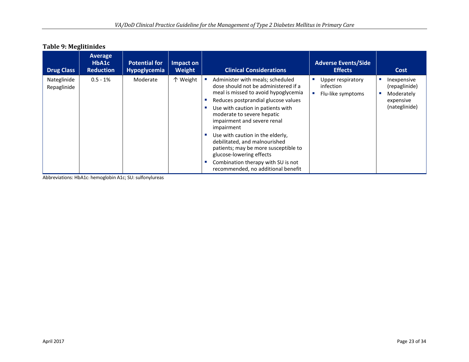| <b>Drug Class</b>          | Average<br>HbA1c<br><b>Reduction</b> | <b>Potential for</b><br><b>Hypoglycemia</b> | Impact on<br><b>Weight</b> | <b>Clinical Considerations</b>                                                                                                                                                                                                                                                                                                                                                                                                                                                               | <b>Adverse Events/Side</b><br><b>Effects</b>        | Cost                                                                     |
|----------------------------|--------------------------------------|---------------------------------------------|----------------------------|----------------------------------------------------------------------------------------------------------------------------------------------------------------------------------------------------------------------------------------------------------------------------------------------------------------------------------------------------------------------------------------------------------------------------------------------------------------------------------------------|-----------------------------------------------------|--------------------------------------------------------------------------|
| Nateglinide<br>Repaglinide | $0.5 - 1%$                           | Moderate                                    | 个 Weight                   | Administer with meals; scheduled<br>dose should not be administered if a<br>meal is missed to avoid hypoglycemia<br>Reduces postprandial glucose values<br>Use with caution in patients with<br>moderate to severe hepatic<br>impairment and severe renal<br>impairment<br>Use with caution in the elderly,<br>debilitated, and malnourished<br>patients; may be more susceptible to<br>glucose-lowering effects<br>Combination therapy with SU is not<br>recommended, no additional benefit | Upper respiratory<br>infection<br>Flu-like symptoms | Inexpensive<br>(repaglinide)<br>Moderately<br>expensive<br>(nateglinide) |

#### **Table 9: Meglitinides**

Abbreviations: HbA1c: hemoglobin A1c; SU: sulfonylureas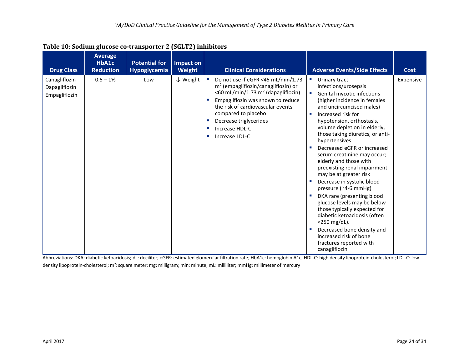| <b>Drug Class</b>                               | <b>Average</b><br>HbA1c<br><b>Reduction</b> | <b>Potential for</b><br><b>Hypoglycemia</b> | Impact on<br>Weight |                                | <b>Clinical Considerations</b>                                                                                                                                                                                                                                                               |                                                                                                                                   | <b>Adverse Events/Side Effects</b>                                                                                                                                                                                                                                                                                                                                                                                                                                                                                                                                                                                                                                                                                               | <b>Cost</b> |
|-------------------------------------------------|---------------------------------------------|---------------------------------------------|---------------------|--------------------------------|----------------------------------------------------------------------------------------------------------------------------------------------------------------------------------------------------------------------------------------------------------------------------------------------|-----------------------------------------------------------------------------------------------------------------------------------|----------------------------------------------------------------------------------------------------------------------------------------------------------------------------------------------------------------------------------------------------------------------------------------------------------------------------------------------------------------------------------------------------------------------------------------------------------------------------------------------------------------------------------------------------------------------------------------------------------------------------------------------------------------------------------------------------------------------------------|-------------|
| Canagliflozin<br>Dapagliflozin<br>Empagliflozin | $0.5 - 1%$                                  | Low                                         | $\downarrow$ Weight | $\mathcal{M}_{\rm{eff}}$<br>W. | Do not use if eGFR <45 mL/min/1.73<br>$m2$ (empagliflozin/canagliflozin) or<br><60 mL/min/1.73 m <sup>2</sup> (dapagliflozin)<br>Empagliflozin was shown to reduce<br>the risk of cardiovascular events<br>compared to placebo<br>Decrease triglycerides<br>Increase HDL-C<br>Increase LDL-C | and a<br>$\mathcal{L}_{\mathcal{A}}$<br>$\mathcal{L}_{\mathcal{A}}$<br>$\mathcal{L}_{\mathcal{A}}$<br>$\mathcal{L}_{\mathcal{A}}$ | Urinary tract<br>infections/urosepsis<br>Genital mycotic infections<br>(higher incidence in females<br>and uncircumcised males)<br>Increased risk for<br>hypotension, orthostasis,<br>volume depletion in elderly,<br>those taking diuretics, or anti-<br>hypertensives<br>Decreased eGFR or increased<br>serum creatinine may occur;<br>elderly and those with<br>preexisting renal impairment<br>may be at greater risk<br>Decrease in systolic blood<br>pressure (~4-6 mmHg)<br>DKA rare (presenting blood<br>glucose levels may be below<br>those typically expected for<br>diabetic ketoacidosis (often<br><250 mg/dL).<br>Decreased bone density and<br>increased risk of bone<br>fractures reported with<br>canagliflozin | Expensive   |

#### **Table 10: Sodium glucose co-transporter 2 (SGLT2) inhibitors**

Abbreviations: DKA: diabetic ketoacidosis; dL: deciliter; eGFR: estimated glomerular filtration rate; HbA1c: hemoglobin A1c; HDL-C: high density lipoprotein-cholesterol; LDL-C: low density lipoprotein-cholesterol; m<sup>2</sup>: square meter; mg: milligram; min: minute; mL: milliliter; mmHg: millimeter of mercury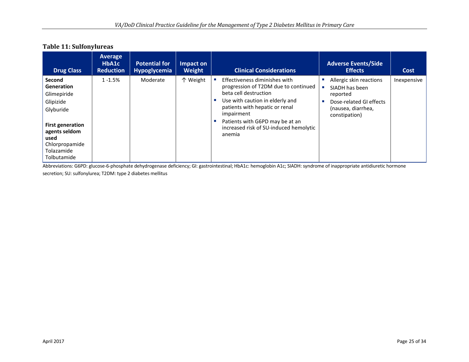#### **Table 11: Sulfonylureas**

| <b>Drug Class</b>                                                                                                                                                       | <b>Average</b><br>HbA1c<br><b>Reduction</b> | <b>Potential for</b><br><b>Hypoglycemia</b> | Impact on<br>Weight | <b>Clinical Considerations</b>                                                                                                                                                                                                                                           | <b>Adverse Events/Side</b><br><b>Effects</b>                                                                            | Cost        |
|-------------------------------------------------------------------------------------------------------------------------------------------------------------------------|---------------------------------------------|---------------------------------------------|---------------------|--------------------------------------------------------------------------------------------------------------------------------------------------------------------------------------------------------------------------------------------------------------------------|-------------------------------------------------------------------------------------------------------------------------|-------------|
| Second<br><b>Generation</b><br>Glimepiride<br>Glipizide<br>Glyburide<br><b>First generation</b><br>agents seldom<br>used<br>Chlorpropamide<br>Tolazamide<br>Tolbutamide | $1 - 1.5%$                                  | Moderate                                    | 个 Weight            | Effectiveness diminishes with<br>progression of T2DM due to continued<br>beta cell destruction<br>Use with caution in elderly and<br>patients with hepatic or renal<br>impairment<br>Patients with G6PD may be at an<br>increased risk of SU-induced hemolytic<br>anemia | Allergic skin reactions<br>SIADH has been<br>reported<br>Dose-related GI effects<br>(nausea, diarrhea,<br>constipation) | Inexpensive |

Abbreviations: G6PD: glucose-6-phosphate dehydrogenase deficiency; GI: gastrointestinal; HbA1c: hemoglobin A1c; SIADH: syndrome of inappropriate antidiuretic hormone

secretion; SU: sulfonylurea; T2DM: type 2 diabetes mellitus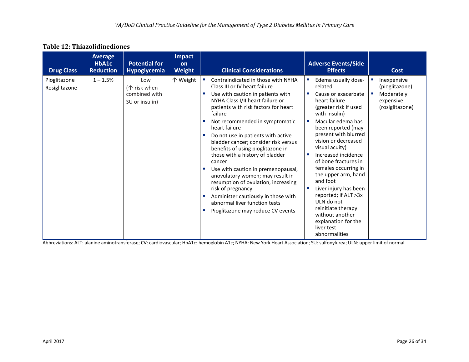#### **Table 12: Thiazolidinediones**

| <b>Drug Class</b>             | <b>Average</b><br>HbA1c<br><b>Reduction</b> | <b>Potential for</b><br><b>Hypoglycemia</b>                     | <b>Impact</b><br>on<br><b>Weight</b> | <b>Clinical Considerations</b>                                                                                                                                                                                                                                                                                                                                                                                                                                                                                                                                                                                                                                                            | <b>Adverse Events/Side</b><br><b>Effects</b>                                                                                                                                                                                                                                                                                                                                                                                                                                                         | <b>Cost</b>                                                                      |
|-------------------------------|---------------------------------------------|-----------------------------------------------------------------|--------------------------------------|-------------------------------------------------------------------------------------------------------------------------------------------------------------------------------------------------------------------------------------------------------------------------------------------------------------------------------------------------------------------------------------------------------------------------------------------------------------------------------------------------------------------------------------------------------------------------------------------------------------------------------------------------------------------------------------------|------------------------------------------------------------------------------------------------------------------------------------------------------------------------------------------------------------------------------------------------------------------------------------------------------------------------------------------------------------------------------------------------------------------------------------------------------------------------------------------------------|----------------------------------------------------------------------------------|
| Pioglitazone<br>Rosiglitazone | $1 - 1.5%$                                  | Low<br>$(\uparrow$ risk when<br>combined with<br>SU or insulin) | 个 Weight                             | Contraindicated in those with NYHA<br>Class III or IV heart failure<br>Use with caution in patients with<br>NYHA Class I/II heart failure or<br>patients with risk factors for heart<br>failure<br>Not recommended in symptomatic<br>heart failure<br>Do not use in patients with active<br>bladder cancer; consider risk versus<br>benefits of using pioglitazone in<br>those with a history of bladder<br>cancer<br>Use with caution in premenopausal,<br>anovulatory women; may result in<br>resumption of ovulation, increasing<br>risk of pregnancy<br>Administer cautiously in those with<br>×.<br>abnormal liver function tests<br>Pioglitazone may reduce CV events<br><b>COL</b> | Edema usually dose-<br>related<br>Cause or exacerbate<br>heart failure<br>(greater risk if used<br>with insulin)<br>Macular edema has<br>been reported (may<br>present with blurred<br>vision or decreased<br>visual acuity)<br>Increased incidence<br>of bone fractures in<br>females occurring in<br>the upper arm, hand<br>and foot<br>Liver injury has been<br>reported; if ALT >3x<br>ULN do not<br>reinitiate therapy<br>without another<br>explanation for the<br>liver test<br>abnormalities | Inexpensive<br>(pioglitazone)<br>Moderately<br>×<br>expensive<br>(rosiglitazone) |

Abbreviations: ALT: alanine aminotransferase; CV: cardiovascular; HbA1c: hemoglobin A1c; NYHA: New York Heart Association; SU: sulfonylurea; ULN: upper limit of normal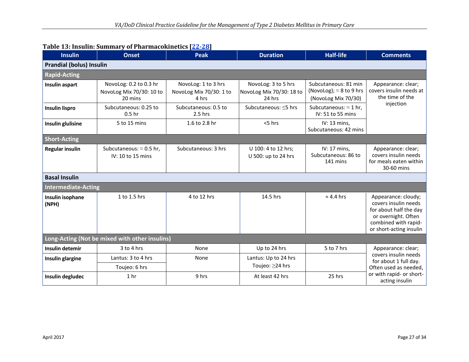| <b>Insulin</b>                            | <b>Peak</b><br><b>Onset</b>                                   |                                                         | <b>Duration</b>                                                             | <b>Half-life</b>                                                               | <b>Comments</b>                                                                                                                                 |  |  |  |  |  |  |
|-------------------------------------------|---------------------------------------------------------------|---------------------------------------------------------|-----------------------------------------------------------------------------|--------------------------------------------------------------------------------|-------------------------------------------------------------------------------------------------------------------------------------------------|--|--|--|--|--|--|
| <b>Prandial (bolus) Insulin</b>           |                                                               |                                                         |                                                                             |                                                                                |                                                                                                                                                 |  |  |  |  |  |  |
| <b>Rapid-Acting</b>                       |                                                               |                                                         |                                                                             |                                                                                |                                                                                                                                                 |  |  |  |  |  |  |
| Insulin aspart                            | NovoLog: 0.2 to 0.3 hr<br>NovoLog Mix 70/30: 10 to<br>20 mins | NovoLog: 1 to 3 hrs<br>NovoLog Mix 70/30: 1 to<br>4 hrs | NovoLog: 3 to 5 hrs<br>NovoLog Mix 70/30: 18 to<br>24 hrs                   | Subcutaneous: 81 min<br>(NovoLog); $\approx$ 8 to 9 hrs<br>(NovoLog Mix 70/30) | Appearance: clear;<br>covers insulin needs at<br>the time of the                                                                                |  |  |  |  |  |  |
| <b>Insulin lispro</b>                     | Subcutaneous: 0.25 to<br>0.5 <sub>hr</sub>                    | Subcutaneous: 0.5 to<br>2.5 hrs                         | Subcutaneous: $\approx$ 1 hr,<br>Subcutaneous: < 5 hrs<br>IV: 51 to 55 mins |                                                                                | injection                                                                                                                                       |  |  |  |  |  |  |
| <b>Insulin glulisine</b>                  | 5 to 15 mins                                                  | 1.6 to 2.8 hr                                           | $<$ 5 hrs                                                                   | IV: 13 mins,<br>Subcutaneous: 42 mins                                          |                                                                                                                                                 |  |  |  |  |  |  |
| <b>Short-Acting</b>                       |                                                               |                                                         |                                                                             |                                                                                |                                                                                                                                                 |  |  |  |  |  |  |
| <b>Regular insulin</b>                    | Subcutaneous: $\approx$ 0.5 hr,<br>IV: 10 to 15 mins          | Subcutaneous: 3 hrs                                     | U 100: 4 to 12 hrs;<br>U 500: up to 24 hrs                                  | IV: 17 mins,<br>Subcutaneous: 86 to<br>141 mins                                | Appearance: clear;<br>covers insulin needs<br>for meals eaten within<br>30-60 mins                                                              |  |  |  |  |  |  |
| <b>Basal Insulin</b>                      |                                                               |                                                         |                                                                             |                                                                                |                                                                                                                                                 |  |  |  |  |  |  |
| <b>Intermediate-Acting</b>                |                                                               |                                                         |                                                                             |                                                                                |                                                                                                                                                 |  |  |  |  |  |  |
| 1 to 1.5 hrs<br>Insulin isophane<br>(NPH) |                                                               | 4 to 12 hrs                                             | 14.5 hrs                                                                    | $\approx$ 4.4 hrs                                                              | Appearance: cloudy;<br>covers insulin needs<br>for about half the day<br>or overnight. Often<br>combined with rapid-<br>or short-acting insulin |  |  |  |  |  |  |
|                                           | Long-Acting (Not be mixed with other insulins)                |                                                         |                                                                             |                                                                                |                                                                                                                                                 |  |  |  |  |  |  |
| <b>Insulin detemir</b>                    | 3 to 4 hrs                                                    | None                                                    | Up to 24 hrs                                                                | 5 to 7 hrs                                                                     | Appearance: clear;                                                                                                                              |  |  |  |  |  |  |
| Insulin glargine                          | Lantus: 3 to 4 hrs<br>Toujeo: 6 hrs                           | None                                                    | Lantus: Up to 24 hrs<br>Toujeo: ≥24 hrs                                     |                                                                                | covers insulin needs<br>for about 1 full day.<br>Often used as needed,                                                                          |  |  |  |  |  |  |
| Insulin degludec                          | 1 <sub>hr</sub>                                               | 9 hrs                                                   | At least 42 hrs                                                             | 25 hrs                                                                         | or with rapid- or short-<br>acting insulin                                                                                                      |  |  |  |  |  |  |

#### **Table 13: Insulin: Summary of Pharmacokinetics [\[22-28\]](#page-33-2)**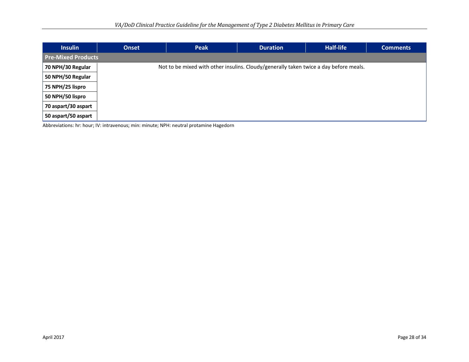| <b>Insulin</b>            | <b>Peak</b><br><b>Onset</b>                                                           |  | <b>Duration</b> | Half-life | <b>Comments</b> |  |  |  |  |  |  |  |
|---------------------------|---------------------------------------------------------------------------------------|--|-----------------|-----------|-----------------|--|--|--|--|--|--|--|
| <b>Pre-Mixed Products</b> |                                                                                       |  |                 |           |                 |  |  |  |  |  |  |  |
| 70 NPH/30 Regular         | Not to be mixed with other insulins. Cloudy/generally taken twice a day before meals. |  |                 |           |                 |  |  |  |  |  |  |  |
| 50 NPH/50 Regular         |                                                                                       |  |                 |           |                 |  |  |  |  |  |  |  |
| 75 NPH/25 lispro          |                                                                                       |  |                 |           |                 |  |  |  |  |  |  |  |
| 50 NPH/50 lispro          |                                                                                       |  |                 |           |                 |  |  |  |  |  |  |  |
| 70 aspart/30 aspart       |                                                                                       |  |                 |           |                 |  |  |  |  |  |  |  |
| 50 aspart/50 aspart       |                                                                                       |  |                 |           |                 |  |  |  |  |  |  |  |

Abbreviations: hr: hour; IV: intravenous; min: minute; NPH: neutral protamine Hagedorn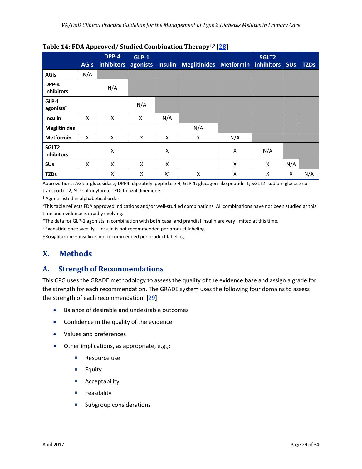|                                | <b>AGIs</b> | DPP-4<br><b>inhibitors</b> | $GLP-1$<br>agonists       |                  | Insulin   Meglitinides   Metformin   inhibitors |     | SGLT2 | <b>SU<sub>s</sub></b> | <b>TZDs</b> |
|--------------------------------|-------------|----------------------------|---------------------------|------------------|-------------------------------------------------|-----|-------|-----------------------|-------------|
| <b>AGIs</b>                    | N/A         |                            |                           |                  |                                                 |     |       |                       |             |
| DPP-4<br>inhibitors            |             | N/A                        |                           |                  |                                                 |     |       |                       |             |
| GLP-1<br>agonists <sup>*</sup> |             |                            | N/A                       |                  |                                                 |     |       |                       |             |
| <b>Insulin</b>                 | X           | X                          | $\mathsf{X}^{\mathsf{t}}$ | N/A              |                                                 |     |       |                       |             |
| <b>Meglitinides</b>            |             |                            |                           |                  | N/A                                             |     |       |                       |             |
| <b>Metformin</b>               | X           | X                          | X                         | X                | Χ                                               | N/A |       |                       |             |
| SGLT2<br>inhibitors            |             | X                          |                           | X                |                                                 | Χ   | N/A   |                       |             |
| <b>SUs</b>                     | X           | X                          | X                         | X                |                                                 | X   | X     | N/A                   |             |
| <b>TZDs</b>                    |             | X                          | X                         | $\mathsf{X}^\pm$ | X                                               | X   | X     | X                     | N/A         |

#### <span id="page-28-2"></span>**Table 14: FDA Approved/ Studied Combination Therapy1,2 [\[28\]](#page-33-3)**

Abbreviations: AGI: α-glucosidase; DPP4: dipeptidyl peptidase-4; GLP-1: glucagon-like peptide-1; SGLT2: sodium glucose cotransporter 2; SU: sulfonylurea; TZD: thiazolidinedione

<sup>1</sup> Agents listed in alphabetical order

2This table reflects FDA approved indications and/or well-studied combinations. All combinations have not been studied at this time and evidence is rapidly evolving.

\*The data for GLP-1 agonists in combination with both basal and prandial insulin are very limited at this time.

†Exenatide once weekly + insulin is not recommended per product labeling.

±Rosiglitazone + insulin is not recommended per product labeling.

### <span id="page-28-0"></span>**X. Methods**

#### <span id="page-28-1"></span>**A. Strength of Recommendations**

This CPG uses the GRADE methodology to assess the quality of the evidence base and assign a grade for the strength for each recommendation. The GRADE system uses the following four domains to assess the strength of each recommendation: [\[29\]](#page-33-4)

- Balance of desirable and undesirable outcomes
- Confidence in the quality of the evidence
- Values and preferences
- Other implications, as appropriate, e.g.,:
	- Resource use
	- **Equity**
	- **Acceptability**
	- **Feasibility**
	- **Subgroup considerations**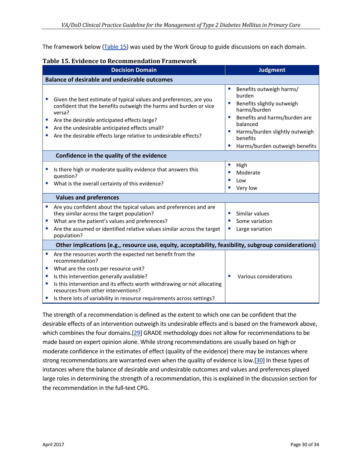The framework below [\(Table 15\)](#page-29-0) was used by the Work Group to guide discussions on each domain.

<span id="page-29-0"></span>

|  |  | Table 15. Evidence to Recommendation Framework |  |
|--|--|------------------------------------------------|--|
|--|--|------------------------------------------------|--|

|         | <b>Decision Domain</b>                                                                                                                                                                                                                                                                                                                                          | <b>Judgment</b>                                                                                                                                                                                                                                                |
|---------|-----------------------------------------------------------------------------------------------------------------------------------------------------------------------------------------------------------------------------------------------------------------------------------------------------------------------------------------------------------------|----------------------------------------------------------------------------------------------------------------------------------------------------------------------------------------------------------------------------------------------------------------|
|         | <b>Balance of desirable and undesirable outcomes</b>                                                                                                                                                                                                                                                                                                            |                                                                                                                                                                                                                                                                |
| ш       | Given the best estimate of typical values and preferences, are you<br>confident that the benefits outweigh the harms and burden or vice<br>versa?<br>Are the desirable anticipated effects large?<br>Are the undesirable anticipated effects small?<br>Are the desirable effects large relative to undesirable effects?                                         | Benefits outweigh harms/<br>×,<br>burden<br>Benefits slightly outweigh<br>×<br>harms/burden<br>Benefits and harms/burden are<br>$\overline{\phantom{a}}$<br>balanced<br>Harms/burden slightly outweigh<br>ш<br>benefits<br>Harms/burden outweigh benefits<br>× |
|         | Confidence in the quality of the evidence                                                                                                                                                                                                                                                                                                                       |                                                                                                                                                                                                                                                                |
|         | Is there high or moderate quality evidence that answers this<br>question?<br>What is the overall certainty of this evidence?                                                                                                                                                                                                                                    | $\mathcal{L}_{\mathcal{A}}$<br>High<br>Moderate<br>×<br>ш<br>Low<br>Very low<br>×                                                                                                                                                                              |
|         | <b>Values and preferences</b>                                                                                                                                                                                                                                                                                                                                   |                                                                                                                                                                                                                                                                |
| ×.      | Are you confident about the typical values and preferences and are<br>they similar across the target population?<br>What are the patient's values and preferences?<br>Are the assumed or identified relative values similar across the target<br>population?                                                                                                    | Similar values<br>$\mathcal{L}_{\mathcal{A}}$<br>Some variation<br>×<br>Large variation<br>ш                                                                                                                                                                   |
|         | Other implications (e.g., resource use, equity, acceptability, feasibility, subgroup considerations)                                                                                                                                                                                                                                                            |                                                                                                                                                                                                                                                                |
| o.<br>× | Are the resources worth the expected net benefit from the<br>recommendation?<br>What are the costs per resource unit?<br>Is this intervention generally available?<br>Is this intervention and its effects worth withdrawing or not allocating<br>resources from other interventions?<br>Is there lots of variability in resource requirements across settings? | Various considerations<br>$\mathbf{r}$                                                                                                                                                                                                                         |

The strength of a recommendation is defined as the extent to which one can be confident that the desirable effects of an intervention outweigh its undesirable effects and is based on the framework above, which combines the four domains.[\[29\]](#page-33-4) GRADE methodology does not allow for recommendations to be made based on expert opinion alone. While strong recommendations are usually based on high or moderate confidence in the estimates of effect (quality of the evidence) there may be instances where strong recommendations are warranted even when the quality of evidence is low.[\[30\]](#page-33-5) In these types of instances where the balance of desirable and undesirable outcomes and values and preferences played large roles in determining the strength of a recommendation, this is explained in the discussion section for the recommendation in the full-text CPG.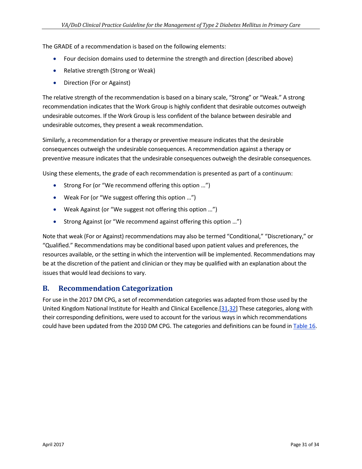The GRADE of a recommendation is based on the following elements:

- Four decision domains used to determine the strength and direction (described above)
- Relative strength (Strong or Weak)
- Direction (For or Against)

The relative strength of the recommendation is based on a binary scale, "Strong" or "Weak." A strong recommendation indicates that the Work Group is highly confident that desirable outcomes outweigh undesirable outcomes. If the Work Group is less confident of the balance between desirable and undesirable outcomes, they present a weak recommendation.

Similarly, a recommendation for a therapy or preventive measure indicates that the desirable consequences outweigh the undesirable consequences. A recommendation against a therapy or preventive measure indicates that the undesirable consequences outweigh the desirable consequences.

Using these elements, the grade of each recommendation is presented as part of a continuum:

- Strong For (or "We recommend offering this option …")
- Weak For (or "We suggest offering this option ...")
- Weak Against (or "We suggest not offering this option …")
- Strong Against (or "We recommend against offering this option …")

Note that weak (For or Against) recommendations may also be termed "Conditional," "Discretionary," or "Qualified." Recommendations may be conditional based upon patient values and preferences, the resources available, or the setting in which the intervention will be implemented. Recommendations may be at the discretion of the patient and clinician or they may be qualified with an explanation about the issues that would lead decisions to vary.

#### <span id="page-30-0"></span>**B. Recommendation Categorization**

For use in the 2017 DM CPG, a set of recommendation categories was adapted from those used by the United Kingdom National Institute for Health and Clinical Excellence.[\[31](#page-33-6)[,32\]](#page-33-7) These categories, along with their corresponding definitions, were used to account for the various ways in which recommendations could have been updated from the 2010 DM CPG. The categories and definitions can be found i[n Table 16.](#page-31-0)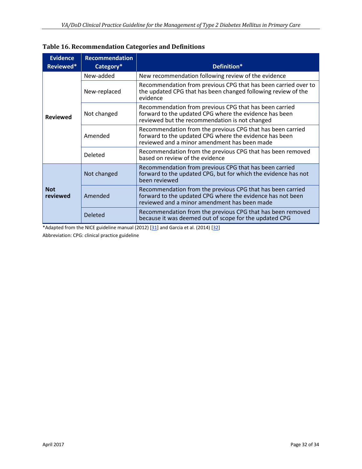| <b>Evidence</b><br>Reviewed* | <b>Recommendation</b><br>Category* | Definition*                                                                                                                                                              |
|------------------------------|------------------------------------|--------------------------------------------------------------------------------------------------------------------------------------------------------------------------|
| <b>Reviewed</b>              | New-added                          | New recommendation following review of the evidence                                                                                                                      |
|                              | New-replaced                       | Recommendation from previous CPG that has been carried over to<br>the updated CPG that has been changed following review of the<br>evidence                              |
|                              | Not changed                        | Recommendation from previous CPG that has been carried<br>forward to the updated CPG where the evidence has been<br>reviewed but the recommendation is not changed       |
|                              | Amended                            | Recommendation from the previous CPG that has been carried<br>forward to the updated CPG where the evidence has been<br>reviewed and a minor amendment has been made     |
|                              | Deleted                            | Recommendation from the previous CPG that has been removed<br>based on review of the evidence                                                                            |
| <b>Not</b><br>reviewed       | Not changed                        | Recommendation from previous CPG that has been carried<br>forward to the updated CPG, but for which the evidence has not<br>been reviewed                                |
|                              | Amended                            | Recommendation from the previous CPG that has been carried<br>forward to the updated CPG where the evidence has not been<br>reviewed and a minor amendment has been made |
|                              | <b>Deleted</b>                     | Recommendation from the previous CPG that has been removed<br>because it was deemed out of scope for the updated CPG                                                     |

<span id="page-31-0"></span>**Table 16. Recommendation Categories and Definitions** 

\*Adapted from the NICE guideline manual (2012)  $[31]$  and Garcia et al. (2014)  $[32]$ Abbreviation: CPG: clinical practice guideline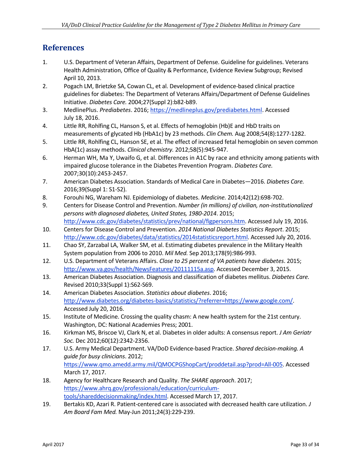### <span id="page-32-0"></span>**References**

- <span id="page-32-1"></span>1. U.S. Department of Veteran Affairs, Department of Defense. Guideline for guidelines. Veterans Health Administration, Office of Quality & Performance, Evidence Review Subgroup; Revised April 10, 2013.
- <span id="page-32-2"></span>2. Pogach LM, Brietzke SA, Cowan CL, et al. Development of evidence-based clinical practice guidelines for diabetes: The Department of Veterans Affairs/Department of Defense Guidelines Initiative. *Diabetes Care.* 2004;27(Suppl 2):b82-b89.
- <span id="page-32-3"></span>3. MedlinePlus. *Prediabetes*. 2016; [https://medlineplus.gov/prediabetes.html.](https://medlineplus.gov/prediabetes.html) Accessed July 18, 2016.
- <span id="page-32-4"></span>4. Little RR, Rohlfing CL, Hanson S, et al. Effects of hemoglobin (Hb)E and HbD traits on measurements of glycated Hb (HbA1c) by 23 methods. *Clin Chem.* Aug 2008;54(8):1277-1282.
- <span id="page-32-5"></span>5. Little RR, Rohlfing CL, Hanson SE, et al. The effect of increased fetal hemoglobin on seven common HbA(1c) assay methods. *Clinical chemistry.* 2012;58(5):945-947.
- <span id="page-32-6"></span>6. Herman WH, Ma Y, Uwaifo G, et al. Differences in A1C by race and ethnicity among patients with impaired glucose tolerance in the Diabetes Prevention Program. *Diabetes Care.*  2007;30(10):2453-2457.
- <span id="page-32-7"></span>7. American Diabetes Association. Standards of Medical Care in Diabetes—2016. *Diabetes Care.*  2016;39(Suppl 1: S1-S2).
- <span id="page-32-8"></span>8. Forouhi NG, Wareham NJ. Epidemiology of diabetes. *Medicine.* 2014;42(12):698-702.
- <span id="page-32-9"></span>9. Centers for Disease Control and Prevention. *Number (in millions) of civilian, non-institutionalized persons with diagnosed diabetes, United States, 1980-2014*. 2015; [http://www.cdc.gov/diabetes/statistics/prev/national/figpersons.htm.](http://www.cdc.gov/diabetes/statistics/prev/national/figpersons.htm) Accessed July 19, 2016.
- <span id="page-32-10"></span>10. Centers for Disease Control and Prevention. *2014 National Diabetes Statistics Report*. 2015; [http://www.cdc.gov/diabetes/data/statistics/2014statisticsreport.html.](http://www.cdc.gov/diabetes/data/statistics/2014statisticsreport.html) Accessed July 20, 2016.
- <span id="page-32-11"></span>11. Chao SY, Zarzabal LA, Walker SM, et al. Estimating diabetes prevalence in the Military Health System population from 2006 to 2010. *Mil Med.* Sep 2013;178(9):986-993.
- <span id="page-32-12"></span>12. U.S. Department of Veterans Affairs. *Close to 25 percent of VA patients have diabetes*. 2015; [http://www.va.gov/health/NewsFeatures/20111115a.asp.](http://www.va.gov/health/NewsFeatures/20111115a.asp) Accessed December 3, 2015.
- <span id="page-32-13"></span>13. American Diabetes Association. Diagnosis and classification of diabetes mellitus. *Diabetes Care.*  Revised 2010;33(Suppl 1):S62-S69.
- <span id="page-32-14"></span>14. American Diabetes Association. *Statistics about diabetes*. 2016; [http://www.diabetes.org/diabetes-basics/statistics/?referrer=https://www.google.com/.](http://www.diabetes.org/diabetes-basics/statistics/?referrer=https://www.google.com/)  Accessed July 20, 2016.
- <span id="page-32-15"></span>15. Institute of Medicine. Crossing the quality chasm: A new health system for the 21st century. Washington, DC: National Academies Press; 2001.
- <span id="page-32-16"></span>16. Kirkman MS, Briscoe VJ, Clark N, et al. Diabetes in older adults: A consensus report. *J Am Geriatr Soc.* Dec 2012;60(12):2342-2356.
- <span id="page-32-17"></span>17. U.S. Army Medical Department. VA/DoD Evidence-based Practice. *Shared decision-making. A guide for busy clinicians*. 2012; [https://www.qmo.amedd.army.mil/QMOCPGShopCart/proddetail.asp?prod=All-005.](https://www.qmo.amedd.army.mil/QMOCPGShopCart/proddetail.asp?prod=All-005) Accessed March 17, 2017.
- <span id="page-32-18"></span>18. Agency for Healthcare Research and Quality. *The SHARE approach*. 2017; [https://www.ahrq.gov/professionals/education/curriculum](https://www.ahrq.gov/professionals/education/curriculum-tools/shareddecisionmaking/index.html)[tools/shareddecisionmaking/index.html.](https://www.ahrq.gov/professionals/education/curriculum-tools/shareddecisionmaking/index.html) Accessed March 17, 2017.
- <span id="page-32-19"></span>19. Bertakis KD, Azari R. Patient-centered care is associated with decreased health care utilization. *J Am Board Fam Med.* May-Jun 2011;24(3):229-239.